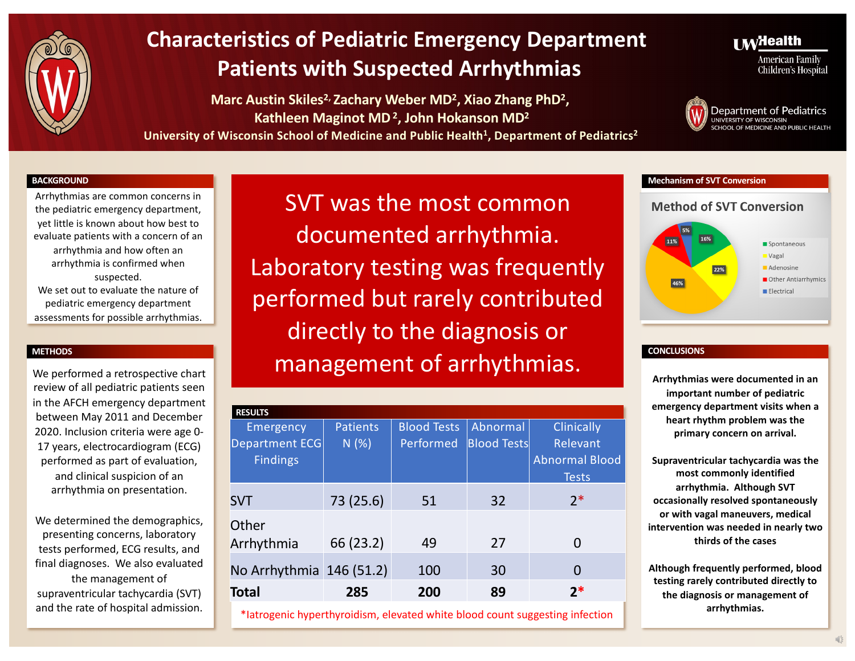

**Marc Austin Skiles2, Zachary Weber MD2, Xiao Zhang PhD2, Kathleen Maginot MD2, John Hokanson MD2**

University of Wisconsin School of Medicine and Public Health<sup>1</sup>, Department of Pediatrics<sup>2</sup>

### **I M**<sup>Health</sup>

**American Family** Children's Hospital



#### **BACKGROUND**

Arrhythmias are common concerns in the pediatric emergency department, yet little is known about how best to evaluate patients with a concern of an arrhythmia and how often an arrhythmia is confirmed when suspected. We set out to evaluate the nature of pediatric emergency department assessments for possible arrhythmias.

#### **METHODS**

review of all pediatric patients seen in the AFCH emergency department between May 2011 and December 2020. Inclusion criteria were age 0- 17 years, electrocardiogram (ECG) performed as part of evaluation, and clinical suspicion of an arrhythmia on presentation.

We determined the demographics, presenting concerns, laboratory tests performed, ECG results, and final diagnoses. We also evaluated the management of supraventricular tachycardia (SVT) and the rate of hospital admission.

SVT was the most common documented arrhythmia. Laboratory testing was frequently performed but rarely contributed directly to the diagnosis or We performed a retrospective chart **No. 1998 Contains a second contains a set of arrhythmias.** 

| <b>RESULTS</b>           |           |                    |                    |                       |  |  |
|--------------------------|-----------|--------------------|--------------------|-----------------------|--|--|
| Emergency                | Patients  | <b>Blood Tests</b> | Abnormal           | <b>Clinically</b>     |  |  |
| <b>Department ECG</b>    | N(%)      | Performed          | <b>Blood Tests</b> | Relevant              |  |  |
| <b>Findings</b>          |           |                    |                    | <b>Abnormal Blood</b> |  |  |
|                          |           |                    |                    | <b>Tests</b>          |  |  |
| <b>SVT</b>               | 73 (25.6) | 51                 | 32                 | $2*$                  |  |  |
| Other                    |           |                    |                    |                       |  |  |
| Arrhythmia               | 66 (23.2) | 49                 | 27                 | O                     |  |  |
| No Arrhythmia 146 (51.2) |           | 100                | 30                 | 0                     |  |  |
| <b>Total</b>             | 285       | 200                | 89                 | $2*$                  |  |  |

\*Iatrogenic hyperthyroidism, elevated white blood count suggesting infection

#### **Mechanism of SVT Conversion**

#### **Method of SVT Conversion**



#### **CONCLUSIONS**

**Arrhythmias were documented in an important number of pediatric emergency department visits when a heart rhythm problem was the primary concern on arrival.**

**Supraventricular tachycardia was the most commonly identified arrhythmia. Although SVT occasionally resolved spontaneously or with vagal maneuvers, medical intervention was needed in nearly two thirds of the cases**

**Although frequently performed, blood testing rarely contributed directly to the diagnosis or management of arrhythmias.**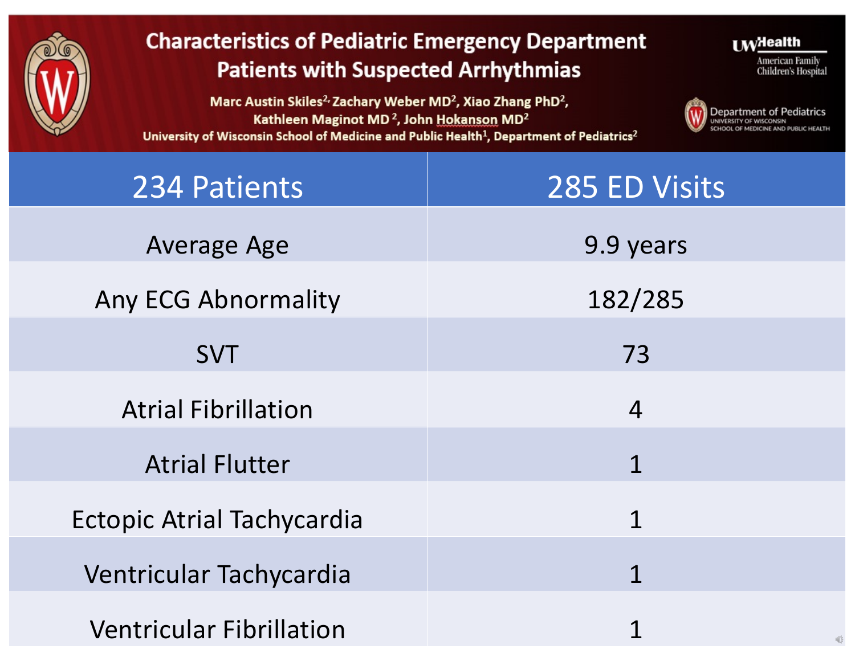

Marc Austin Skiles<sup>2,</sup> Zachary Weber MD<sup>2</sup>, Xiao Zhang PhD<sup>2</sup>, Kathleen Maginot MD<sup>2</sup>, John Hokanson MD<sup>2</sup> University of Wisconsin School of Medicine and Public Health<sup>1</sup>, Department of Pediatrics<sup>2</sup>



**LW**Health

American Family

Children's Hospital

| 234 Patients                      | 285 ED Visits                               |  |  |
|-----------------------------------|---------------------------------------------|--|--|
| <b>Average Age</b>                | 9.9 years                                   |  |  |
| <b>Any ECG Abnormality</b>        | 182/285                                     |  |  |
| <b>SVT</b>                        | 73                                          |  |  |
| <b>Atrial Fibrillation</b>        | $\overline{4}$                              |  |  |
| <b>Atrial Flutter</b>             | $\mathbf 1$                                 |  |  |
| <b>Ectopic Atrial Tachycardia</b> | 1                                           |  |  |
|                                   |                                             |  |  |
| Ventricular Tachycardia           | $\mathbf 1$                                 |  |  |
| <b>Ventricular Fibrillation</b>   | 1<br>$\mathbb{Q}^{\mathbb{Q}}_{\mathbb{Q}}$ |  |  |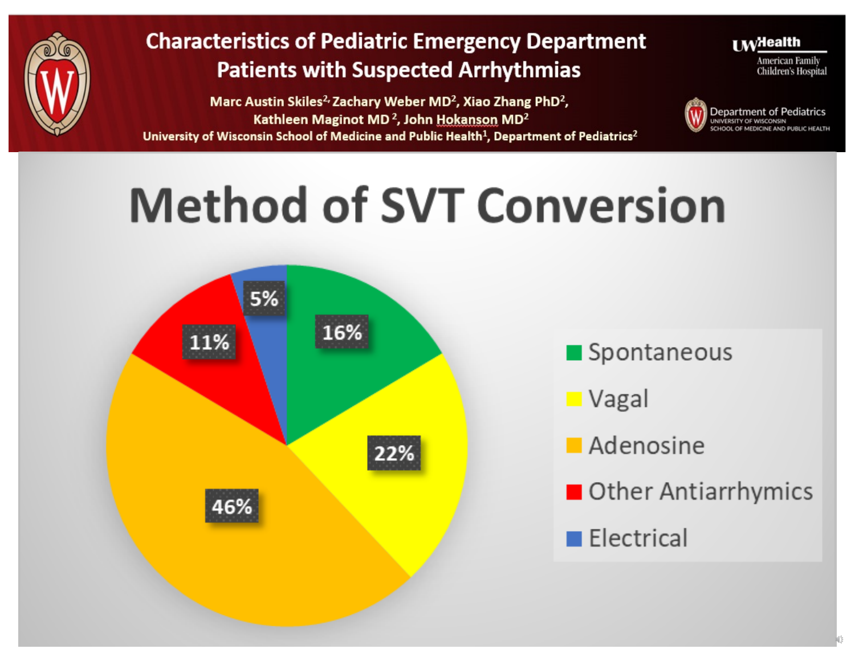

Marc Austin Skiles<sup>2</sup><sup>,</sup> Zachary Weber MD<sup>2</sup>, Xiao Zhang PhD<sup>2</sup>, Kathleen Maginot MD<sup>2</sup>, John Hokanson MD<sup>2</sup> University of Wisconsin School of Medicine and Public Health<sup>1</sup>, Department of Pediatrics<sup>2</sup> **I** MyHealth

American Family **Children's Hospital** 



# **Method of SVT Conversion**



Spontaneous

■ Vagal

- **Adenosine**
- Other Antiarrhymics

 $\blacksquare$  Electrical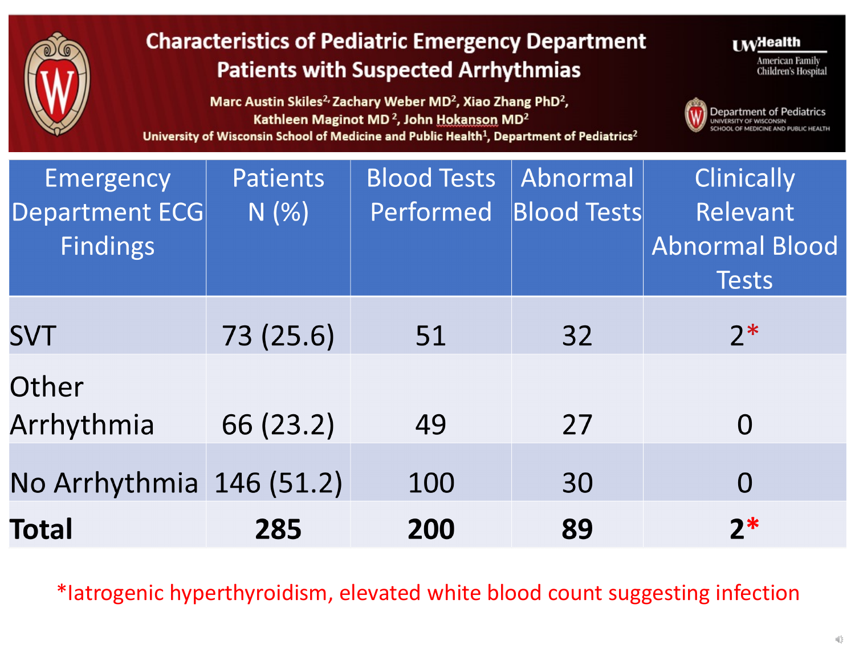

Marc Austin Skiles<sup>2,</sup> Zachary Weber MD<sup>2</sup>, Xiao Zhang PhD<sup>2</sup>, Kathleen Maginot MD<sup>2</sup>, John Hokanson MD<sup>2</sup> University of Wisconsin School of Medicine and Public Health<sup>1</sup>, Department of Pediatrics<sup>2</sup>



 $I$  M<sup>H</sup>ealth



| Emergency<br>Department ECG<br><b>Findings</b> | <b>Patients</b><br>N(%) | <b>Blood Tests</b><br>Performed | Abnormal<br><b>Blood Tests</b> | <b>Clinically</b><br>Relevant<br>Abnormal Blood<br><b>Tests</b> |
|------------------------------------------------|-------------------------|---------------------------------|--------------------------------|-----------------------------------------------------------------|
| <b>SVT</b>                                     | 73 (25.6)               | 51                              | 32                             | $2*$                                                            |
| Other<br>Arrhythmia                            | 66 (23.2)               | 49                              | 27                             | $\overline{O}$                                                  |
| No Arrhythmia 146 (51.2)                       |                         | 100                             | 30                             | O                                                               |
| <b>Total</b>                                   | 285                     | 200                             | 89                             | $2*$                                                            |

\*Iatrogenic hyperthyroidism, elevated white blood count suggesting infection